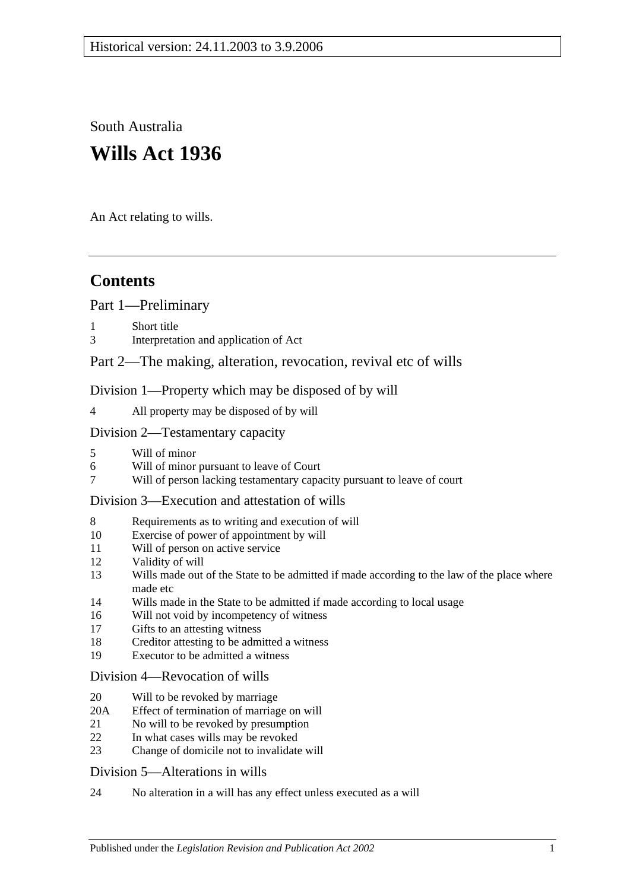South Australia **Wills Act 1936**

An Act relating to wills.

# **Contents**

[Part 1—Preliminary](#page-1-0)

- [Short title](#page-1-1)
- 3 [Interpretation and application of Act](#page-1-2)

## [Part 2—The making, alteration, revocation, revival etc of wills](#page-2-0)

[Division 1—Property which may be disposed of by will](#page-2-1)

4 [All property may be disposed of by will](#page-2-2)

#### [Division 2—Testamentary capacity](#page-3-0)

- 5 [Will of minor](#page-3-1)
- 6 [Will of minor pursuant to leave of Court](#page-3-2)<br>7 Will of person lacking testamentary capa
- [Will of person lacking testamentary capacity pursuant to leave of court](#page-3-3)

#### [Division 3—Execution and attestation of wills](#page-5-0)

- 8 [Requirements as to writing and execution of will](#page-5-1)
- 10 [Exercise of power of appointment by will](#page-6-0)
- 11 [Will of person on active service](#page-6-1)
- 12 [Validity of will](#page-6-2)
- 13 [Wills made out of the State to be admitted if made according to the law of the place where](#page-6-3)  [made etc](#page-6-3)
- 14 [Wills made in the State to be admitted if made according to local usage](#page-7-0)
- 16 [Will not void by incompetency of witness](#page-7-1)
- 17 [Gifts to an attesting witness](#page-7-2)
- 18 [Creditor attesting to be admitted a witness](#page-7-3)
- 19 [Executor to be admitted a witness](#page-7-4)

#### [Division 4—Revocation of wills](#page-7-5)

- 20 [Will to be revoked by marriage](#page-7-6)
- 20A [Effect of termination of marriage on will](#page-7-7)
- 21 [No will to be revoked by presumption](#page-8-0)
- 22 [In what cases wills may be revoked](#page-9-0)
- 23 [Change of domicile not to invalidate will](#page-9-1)

#### [Division 5—Alterations in wills](#page-9-2)

24 [No alteration in a will has any effect unless executed as a will](#page-9-3)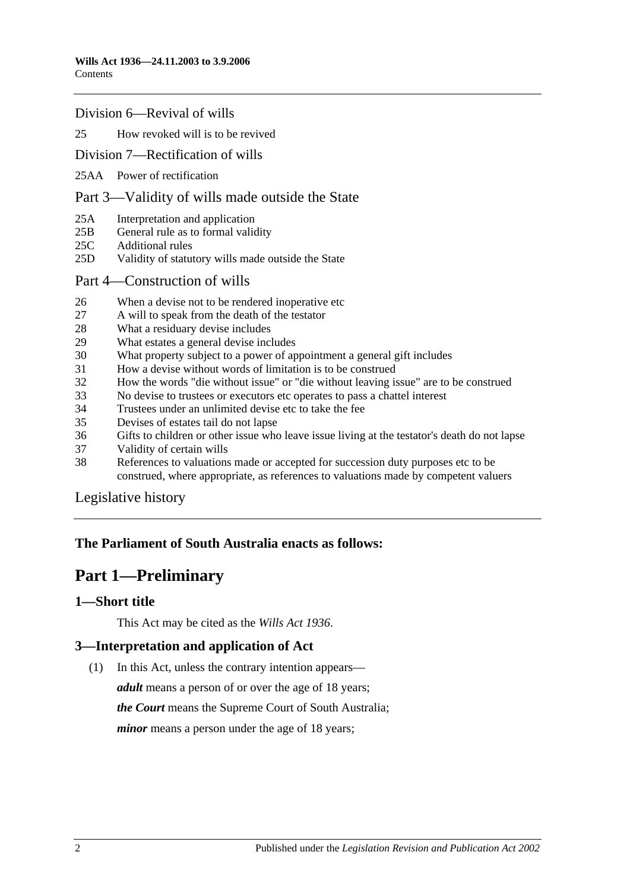#### [Division 6—Revival of wills](#page-9-4)

#### 25 [How revoked will is to be revived](#page-9-5)

#### [Division 7—Rectification of wills](#page-10-0)

25AA [Power of rectification](#page-10-1)

#### [Part 3—Validity of wills made outside the State](#page-10-2)

- 25A [Interpretation and application](#page-10-3)
- 25B [General rule as to formal validity](#page-11-0)
- 25C [Additional rules](#page-11-1)
- 25D [Validity of statutory wills made outside the State](#page-11-2)
- [Part 4—Construction of wills](#page-12-0)
- 26 [When a devise not to be rendered inoperative etc](#page-12-1)
- 27 [A will to speak from the death of the testator](#page-12-2)
- 28 [What a residuary devise includes](#page-12-3)
- 29 [What estates a general devise includes](#page-12-4)
- 30 [What property subject to a power of appointment a general gift includes](#page-12-5)
- 31 [How a devise without words of limitation is to be construed](#page-13-0)
- 32 [How the words "die without issue" or "die without leaving issue" are to be construed](#page-13-1)
- 33 [No devise to trustees or executors etc operates to pass a chattel interest](#page-13-2)
- 34 [Trustees under an unlimited devise etc to take the fee](#page-13-3)
- 35 [Devises of estates tail do not lapse](#page-13-4)
- 36 [Gifts to children or other issue who leave issue living at the testator's death do not lapse](#page-14-0)
- 37 [Validity of certain wills](#page-14-1)
- 38 [References to valuations made or accepted for succession duty purposes etc to be](#page-14-2)  construed, [where appropriate, as references to valuations made by competent valuers](#page-14-2)

[Legislative history](#page-15-0)

## <span id="page-1-0"></span>**The Parliament of South Australia enacts as follows:**

# **Part 1—Preliminary**

#### <span id="page-1-1"></span>**1—Short title**

This Act may be cited as the *Wills Act 1936*.

## <span id="page-1-2"></span>**3—Interpretation and application of Act**

(1) In this Act, unless the contrary intention appears—

*adult* means a person of or over the age of 18 years; *the Court* means the Supreme Court of South Australia; *minor* means a person under the age of 18 years;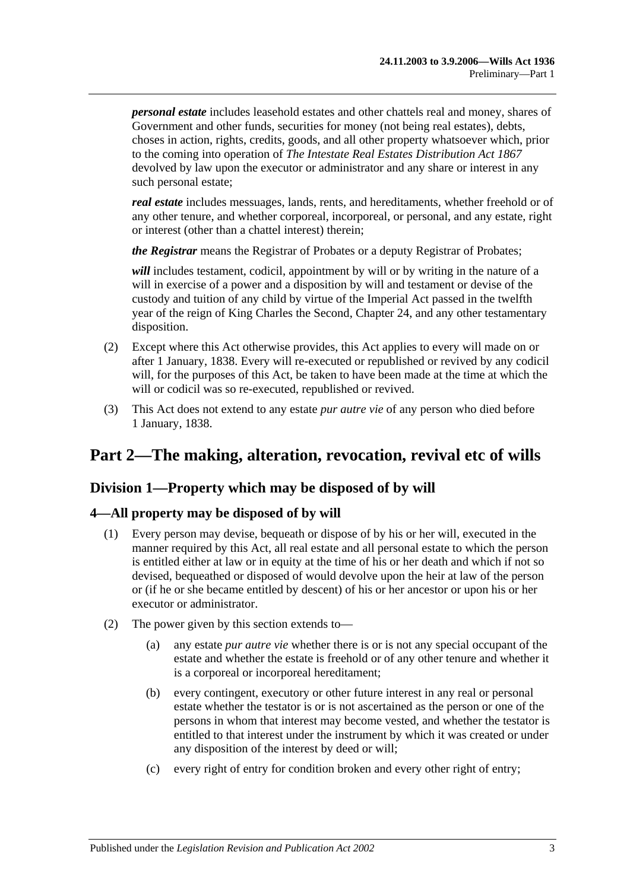*personal estate* includes leasehold estates and other chattels real and money, shares of Government and other funds, securities for money (not being real estates), debts, choses in action, rights, credits, goods, and all other property whatsoever which, prior to the coming into operation of *[The Intestate Real Estates Distribution Act](http://www.legislation.sa.gov.au/index.aspx?action=legref&type=act&legtitle=The%20Intestate%20Real%20Estates%20Distribution%20Act%201867) 1867* devolved by law upon the executor or administrator and any share or interest in any such personal estate;

*real estate* includes messuages, lands, rents, and hereditaments, whether freehold or of any other tenure, and whether corporeal, incorporeal, or personal, and any estate, right or interest (other than a chattel interest) therein;

*the Registrar* means the Registrar of Probates or a deputy Registrar of Probates;

will includes testament, codicil, appointment by will or by writing in the nature of a will in exercise of a power and a disposition by will and testament or devise of the custody and tuition of any child by virtue of the Imperial Act passed in the twelfth year of the reign of King Charles the Second, Chapter 24, and any other testamentary disposition.

- (2) Except where this Act otherwise provides, this Act applies to every will made on or after 1 January, 1838. Every will re-executed or republished or revived by any codicil will, for the purposes of this Act, be taken to have been made at the time at which the will or codicil was so re-executed, republished or revived.
- (3) This Act does not extend to any estate *pur autre vie* of any person who died before 1 January, 1838.

# <span id="page-2-0"></span>**Part 2—The making, alteration, revocation, revival etc of wills**

## <span id="page-2-1"></span>**Division 1—Property which may be disposed of by will**

## <span id="page-2-2"></span>**4—All property may be disposed of by will**

- (1) Every person may devise, bequeath or dispose of by his or her will, executed in the manner required by this Act, all real estate and all personal estate to which the person is entitled either at law or in equity at the time of his or her death and which if not so devised, bequeathed or disposed of would devolve upon the heir at law of the person or (if he or she became entitled by descent) of his or her ancestor or upon his or her executor or administrator.
- (2) The power given by this section extends to—
	- (a) any estate *pur autre vie* whether there is or is not any special occupant of the estate and whether the estate is freehold or of any other tenure and whether it is a corporeal or incorporeal hereditament;
	- (b) every contingent, executory or other future interest in any real or personal estate whether the testator is or is not ascertained as the person or one of the persons in whom that interest may become vested, and whether the testator is entitled to that interest under the instrument by which it was created or under any disposition of the interest by deed or will;
	- (c) every right of entry for condition broken and every other right of entry;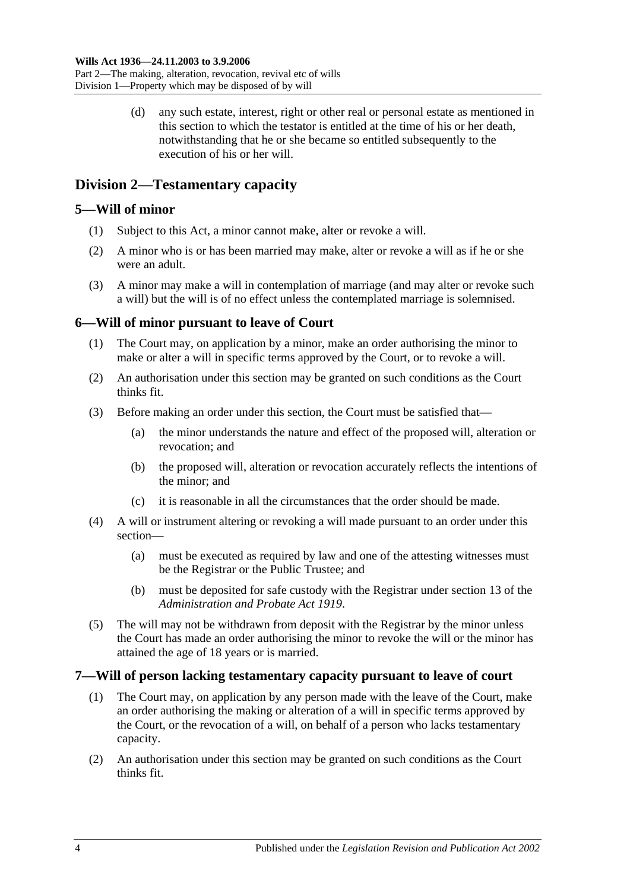Part 2—The making, alteration, revocation, revival etc of wills Division 1—Property which may be disposed of by will

> (d) any such estate, interest, right or other real or personal estate as mentioned in this section to which the testator is entitled at the time of his or her death, notwithstanding that he or she became so entitled subsequently to the execution of his or her will.

## <span id="page-3-0"></span>**Division 2—Testamentary capacity**

## <span id="page-3-1"></span>**5—Will of minor**

- (1) Subject to this Act, a minor cannot make, alter or revoke a will.
- (2) A minor who is or has been married may make, alter or revoke a will as if he or she were an adult.
- (3) A minor may make a will in contemplation of marriage (and may alter or revoke such a will) but the will is of no effect unless the contemplated marriage is solemnised.

## <span id="page-3-2"></span>**6—Will of minor pursuant to leave of Court**

- (1) The Court may, on application by a minor, make an order authorising the minor to make or alter a will in specific terms approved by the Court, or to revoke a will.
- (2) An authorisation under this section may be granted on such conditions as the Court thinks fit.
- (3) Before making an order under this section, the Court must be satisfied that—
	- (a) the minor understands the nature and effect of the proposed will, alteration or revocation; and
	- (b) the proposed will, alteration or revocation accurately reflects the intentions of the minor; and
	- (c) it is reasonable in all the circumstances that the order should be made.
- (4) A will or instrument altering or revoking a will made pursuant to an order under this section—
	- (a) must be executed as required by law and one of the attesting witnesses must be the Registrar or the Public Trustee; and
	- (b) must be deposited for safe custody with the Registrar under section 13 of the *[Administration and Probate Act](http://www.legislation.sa.gov.au/index.aspx?action=legref&type=act&legtitle=Administration%20and%20Probate%20Act%201919) 1919*.
- (5) The will may not be withdrawn from deposit with the Registrar by the minor unless the Court has made an order authorising the minor to revoke the will or the minor has attained the age of 18 years or is married.

## <span id="page-3-3"></span>**7—Will of person lacking testamentary capacity pursuant to leave of court**

- (1) The Court may, on application by any person made with the leave of the Court, make an order authorising the making or alteration of a will in specific terms approved by the Court, or the revocation of a will, on behalf of a person who lacks testamentary capacity.
- (2) An authorisation under this section may be granted on such conditions as the Court thinks fit.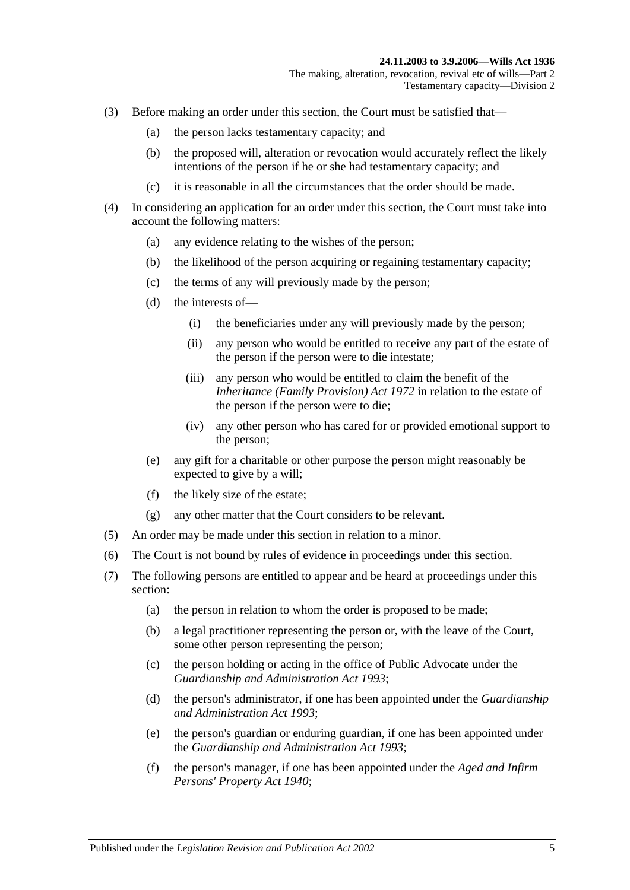- (3) Before making an order under this section, the Court must be satisfied that—
	- (a) the person lacks testamentary capacity; and
	- (b) the proposed will, alteration or revocation would accurately reflect the likely intentions of the person if he or she had testamentary capacity; and
	- (c) it is reasonable in all the circumstances that the order should be made.
- (4) In considering an application for an order under this section, the Court must take into account the following matters:
	- (a) any evidence relating to the wishes of the person;
	- (b) the likelihood of the person acquiring or regaining testamentary capacity;
	- (c) the terms of any will previously made by the person;
	- (d) the interests of—
		- (i) the beneficiaries under any will previously made by the person;
		- (ii) any person who would be entitled to receive any part of the estate of the person if the person were to die intestate;
		- (iii) any person who would be entitled to claim the benefit of the *[Inheritance \(Family Provision\) Act](http://www.legislation.sa.gov.au/index.aspx?action=legref&type=act&legtitle=Inheritance%20(Family%20Provision)%20Act%201972) 1972* in relation to the estate of the person if the person were to die;
		- (iv) any other person who has cared for or provided emotional support to the person;
	- (e) any gift for a charitable or other purpose the person might reasonably be expected to give by a will;
	- (f) the likely size of the estate;
	- (g) any other matter that the Court considers to be relevant.
- (5) An order may be made under this section in relation to a minor.
- (6) The Court is not bound by rules of evidence in proceedings under this section.
- (7) The following persons are entitled to appear and be heard at proceedings under this section:
	- (a) the person in relation to whom the order is proposed to be made;
	- (b) a legal practitioner representing the person or, with the leave of the Court, some other person representing the person;
	- (c) the person holding or acting in the office of Public Advocate under the *[Guardianship and Administration Act](http://www.legislation.sa.gov.au/index.aspx?action=legref&type=act&legtitle=Guardianship%20and%20Administration%20Act%201993) 1993*;
	- (d) the person's administrator, if one has been appointed under the *[Guardianship](http://www.legislation.sa.gov.au/index.aspx?action=legref&type=act&legtitle=Guardianship%20and%20Administration%20Act%201993)  [and Administration Act](http://www.legislation.sa.gov.au/index.aspx?action=legref&type=act&legtitle=Guardianship%20and%20Administration%20Act%201993) 1993*;
	- (e) the person's guardian or enduring guardian, if one has been appointed under the *[Guardianship and Administration Act](http://www.legislation.sa.gov.au/index.aspx?action=legref&type=act&legtitle=Guardianship%20and%20Administration%20Act%201993) 1993*;
	- (f) the person's manager, if one has been appointed under the *[Aged and Infirm](http://www.legislation.sa.gov.au/index.aspx?action=legref&type=act&legtitle=Aged%20and%20Infirm%20Persons%20Property%20Act%201940)  [Persons' Property Act](http://www.legislation.sa.gov.au/index.aspx?action=legref&type=act&legtitle=Aged%20and%20Infirm%20Persons%20Property%20Act%201940) 1940*;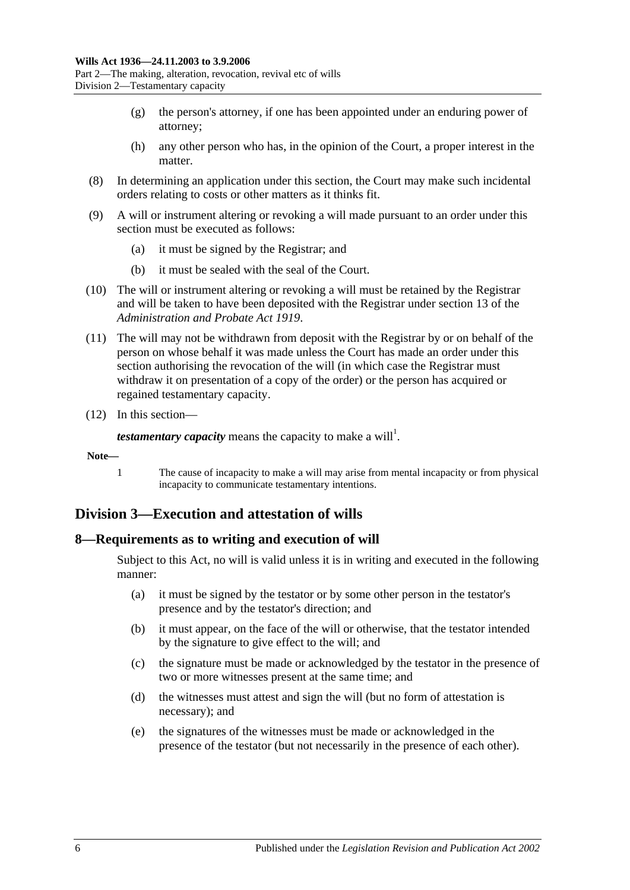- (g) the person's attorney, if one has been appointed under an enduring power of attorney;
- (h) any other person who has, in the opinion of the Court, a proper interest in the matter.
- (8) In determining an application under this section, the Court may make such incidental orders relating to costs or other matters as it thinks fit.
- (9) A will or instrument altering or revoking a will made pursuant to an order under this section must be executed as follows:
	- (a) it must be signed by the Registrar; and
	- (b) it must be sealed with the seal of the Court.
- (10) The will or instrument altering or revoking a will must be retained by the Registrar and will be taken to have been deposited with the Registrar under section 13 of the *[Administration and Probate Act](http://www.legislation.sa.gov.au/index.aspx?action=legref&type=act&legtitle=Administration%20and%20Probate%20Act%201919) 1919*.
- (11) The will may not be withdrawn from deposit with the Registrar by or on behalf of the person on whose behalf it was made unless the Court has made an order under this section authorising the revocation of the will (in which case the Registrar must withdraw it on presentation of a copy of the order) or the person has acquired or regained testamentary capacity.
- (12) In this section—

*testamentary capacity* means the capacity to make a will<sup>1</sup>.

- **Note—**
	- 1 The cause of incapacity to make a will may arise from mental incapacity or from physical incapacity to communicate testamentary intentions.

## <span id="page-5-0"></span>**Division 3—Execution and attestation of wills**

#### <span id="page-5-1"></span>**8—Requirements as to writing and execution of will**

Subject to this Act, no will is valid unless it is in writing and executed in the following manner:

- (a) it must be signed by the testator or by some other person in the testator's presence and by the testator's direction; and
- (b) it must appear, on the face of the will or otherwise, that the testator intended by the signature to give effect to the will; and
- (c) the signature must be made or acknowledged by the testator in the presence of two or more witnesses present at the same time; and
- (d) the witnesses must attest and sign the will (but no form of attestation is necessary); and
- (e) the signatures of the witnesses must be made or acknowledged in the presence of the testator (but not necessarily in the presence of each other).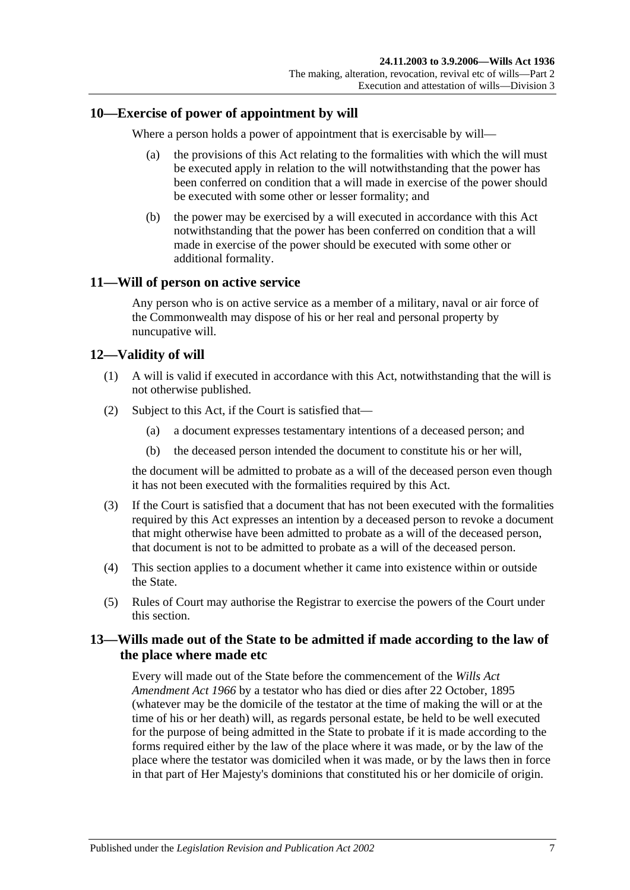#### <span id="page-6-0"></span>**10—Exercise of power of appointment by will**

Where a person holds a power of appointment that is exercisable by will—

- (a) the provisions of this Act relating to the formalities with which the will must be executed apply in relation to the will notwithstanding that the power has been conferred on condition that a will made in exercise of the power should be executed with some other or lesser formality; and
- (b) the power may be exercised by a will executed in accordance with this Act notwithstanding that the power has been conferred on condition that a will made in exercise of the power should be executed with some other or additional formality.

#### <span id="page-6-1"></span>**11—Will of person on active service**

Any person who is on active service as a member of a military, naval or air force of the Commonwealth may dispose of his or her real and personal property by nuncupative will.

#### <span id="page-6-2"></span>**12—Validity of will**

- (1) A will is valid if executed in accordance with this Act, notwithstanding that the will is not otherwise published.
- (2) Subject to this Act, if the Court is satisfied that—
	- (a) a document expresses testamentary intentions of a deceased person; and
	- (b) the deceased person intended the document to constitute his or her will,

the document will be admitted to probate as a will of the deceased person even though it has not been executed with the formalities required by this Act.

- <span id="page-6-4"></span>(3) If the Court is satisfied that a document that has not been executed with the formalities required by this Act expresses an intention by a deceased person to revoke a document that might otherwise have been admitted to probate as a will of the deceased person, that document is not to be admitted to probate as a will of the deceased person.
- (4) This section applies to a document whether it came into existence within or outside the State.
- (5) Rules of Court may authorise the Registrar to exercise the powers of the Court under this section.

## <span id="page-6-3"></span>**13—Wills made out of the State to be admitted if made according to the law of the place where made etc**

Every will made out of the State before the commencement of the *[Wills Act](http://www.legislation.sa.gov.au/index.aspx?action=legref&type=act&legtitle=Wills%20Act%20Amendment%20Act%201966)  [Amendment Act](http://www.legislation.sa.gov.au/index.aspx?action=legref&type=act&legtitle=Wills%20Act%20Amendment%20Act%201966) 1966* by a testator who has died or dies after 22 October, 1895 (whatever may be the domicile of the testator at the time of making the will or at the time of his or her death) will, as regards personal estate, be held to be well executed for the purpose of being admitted in the State to probate if it is made according to the forms required either by the law of the place where it was made, or by the law of the place where the testator was domiciled when it was made, or by the laws then in force in that part of Her Majesty's dominions that constituted his or her domicile of origin.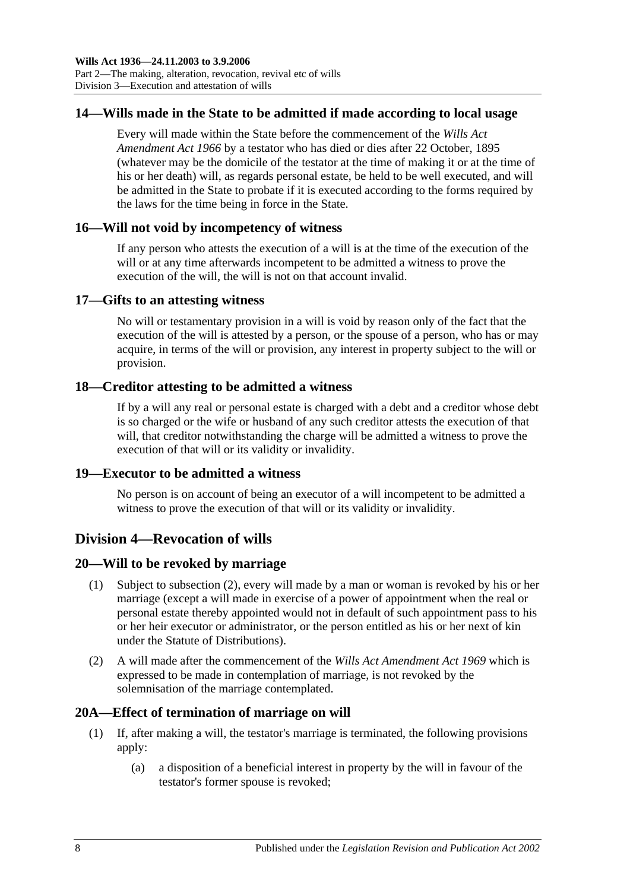## <span id="page-7-0"></span>**14—Wills made in the State to be admitted if made according to local usage**

Every will made within the State before the commencement of the *[Wills Act](http://www.legislation.sa.gov.au/index.aspx?action=legref&type=act&legtitle=Wills%20Act%20Amendment%20Act%201966)  [Amendment Act](http://www.legislation.sa.gov.au/index.aspx?action=legref&type=act&legtitle=Wills%20Act%20Amendment%20Act%201966) 1966* by a testator who has died or dies after 22 October, 1895 (whatever may be the domicile of the testator at the time of making it or at the time of his or her death) will, as regards personal estate, be held to be well executed, and will be admitted in the State to probate if it is executed according to the forms required by the laws for the time being in force in the State.

## <span id="page-7-1"></span>**16—Will not void by incompetency of witness**

If any person who attests the execution of a will is at the time of the execution of the will or at any time afterwards incompetent to be admitted a witness to prove the execution of the will, the will is not on that account invalid.

#### <span id="page-7-2"></span>**17—Gifts to an attesting witness**

No will or testamentary provision in a will is void by reason only of the fact that the execution of the will is attested by a person, or the spouse of a person, who has or may acquire, in terms of the will or provision, any interest in property subject to the will or provision.

## <span id="page-7-3"></span>**18—Creditor attesting to be admitted a witness**

If by a will any real or personal estate is charged with a debt and a creditor whose debt is so charged or the wife or husband of any such creditor attests the execution of that will, that creditor notwithstanding the charge will be admitted a witness to prove the execution of that will or its validity or invalidity.

## <span id="page-7-4"></span>**19—Executor to be admitted a witness**

No person is on account of being an executor of a will incompetent to be admitted a witness to prove the execution of that will or its validity or invalidity.

## <span id="page-7-5"></span>**Division 4—Revocation of wills**

## <span id="page-7-6"></span>**20—Will to be revoked by marriage**

- (1) Subject to [subsection](#page-7-8) (2), every will made by a man or woman is revoked by his or her marriage (except a will made in exercise of a power of appointment when the real or personal estate thereby appointed would not in default of such appointment pass to his or her heir executor or administrator, or the person entitled as his or her next of kin under the Statute of Distributions).
- <span id="page-7-8"></span>(2) A will made after the commencement of the *[Wills Act Amendment Act](http://www.legislation.sa.gov.au/index.aspx?action=legref&type=act&legtitle=Wills%20Act%20Amendment%20Act%201969) 1969* which is expressed to be made in contemplation of marriage, is not revoked by the solemnisation of the marriage contemplated.

#### <span id="page-7-7"></span>**20A—Effect of termination of marriage on will**

- (1) If, after making a will, the testator's marriage is terminated, the following provisions apply:
	- (a) a disposition of a beneficial interest in property by the will in favour of the testator's former spouse is revoked;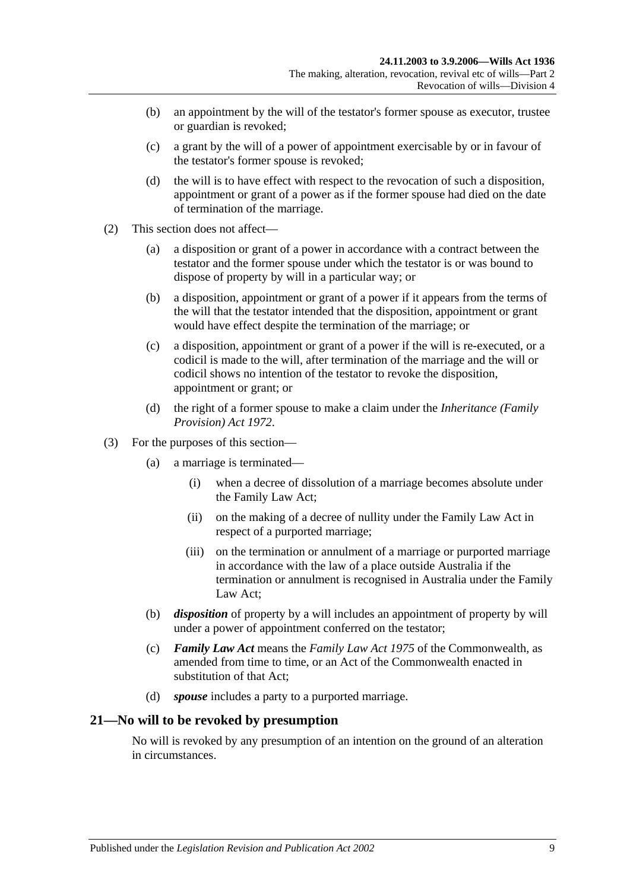- (b) an appointment by the will of the testator's former spouse as executor, trustee or guardian is revoked;
- (c) a grant by the will of a power of appointment exercisable by or in favour of the testator's former spouse is revoked;
- (d) the will is to have effect with respect to the revocation of such a disposition, appointment or grant of a power as if the former spouse had died on the date of termination of the marriage.
- (2) This section does not affect—
	- (a) a disposition or grant of a power in accordance with a contract between the testator and the former spouse under which the testator is or was bound to dispose of property by will in a particular way; or
	- (b) a disposition, appointment or grant of a power if it appears from the terms of the will that the testator intended that the disposition, appointment or grant would have effect despite the termination of the marriage; or
	- (c) a disposition, appointment or grant of a power if the will is re-executed, or a codicil is made to the will, after termination of the marriage and the will or codicil shows no intention of the testator to revoke the disposition, appointment or grant; or
	- (d) the right of a former spouse to make a claim under the *[Inheritance \(Family](http://www.legislation.sa.gov.au/index.aspx?action=legref&type=act&legtitle=Inheritance%20(Family%20Provision)%20Act%201972)  [Provision\) Act](http://www.legislation.sa.gov.au/index.aspx?action=legref&type=act&legtitle=Inheritance%20(Family%20Provision)%20Act%201972) 1972*.
- (3) For the purposes of this section—
	- (a) a marriage is terminated—
		- (i) when a decree of dissolution of a marriage becomes absolute under the Family Law Act;
		- (ii) on the making of a decree of nullity under the Family Law Act in respect of a purported marriage;
		- (iii) on the termination or annulment of a marriage or purported marriage in accordance with the law of a place outside Australia if the termination or annulment is recognised in Australia under the Family Law Act;
	- (b) *disposition* of property by a will includes an appointment of property by will under a power of appointment conferred on the testator;
	- (c) *Family Law Act* means the *Family Law Act 1975* of the Commonwealth, as amended from time to time, or an Act of the Commonwealth enacted in substitution of that Act;
	- (d) *spouse* includes a party to a purported marriage.

#### <span id="page-8-0"></span>**21—No will to be revoked by presumption**

No will is revoked by any presumption of an intention on the ground of an alteration in circumstances.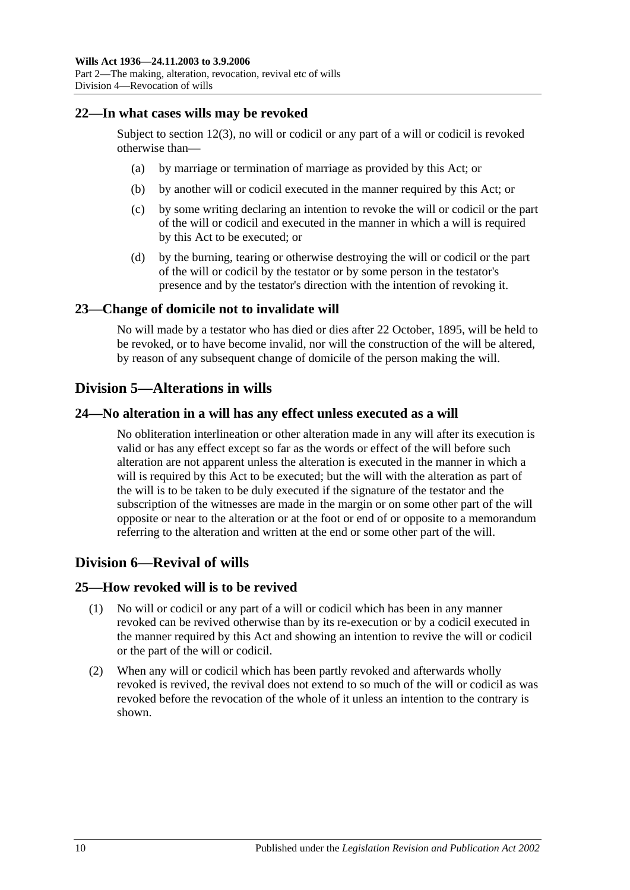#### <span id="page-9-0"></span>**22—In what cases wills may be revoked**

Subject to [section](#page-6-4) 12(3), no will or codicil or any part of a will or codicil is revoked otherwise than—

- (a) by marriage or termination of marriage as provided by this Act; or
- (b) by another will or codicil executed in the manner required by this Act; or
- (c) by some writing declaring an intention to revoke the will or codicil or the part of the will or codicil and executed in the manner in which a will is required by this Act to be executed; or
- (d) by the burning, tearing or otherwise destroying the will or codicil or the part of the will or codicil by the testator or by some person in the testator's presence and by the testator's direction with the intention of revoking it.

#### <span id="page-9-1"></span>**23—Change of domicile not to invalidate will**

No will made by a testator who has died or dies after 22 October, 1895, will be held to be revoked, or to have become invalid, nor will the construction of the will be altered, by reason of any subsequent change of domicile of the person making the will.

## <span id="page-9-2"></span>**Division 5—Alterations in wills**

#### <span id="page-9-3"></span>**24—No alteration in a will has any effect unless executed as a will**

No obliteration interlineation or other alteration made in any will after its execution is valid or has any effect except so far as the words or effect of the will before such alteration are not apparent unless the alteration is executed in the manner in which a will is required by this Act to be executed; but the will with the alteration as part of the will is to be taken to be duly executed if the signature of the testator and the subscription of the witnesses are made in the margin or on some other part of the will opposite or near to the alteration or at the foot or end of or opposite to a memorandum referring to the alteration and written at the end or some other part of the will.

## <span id="page-9-4"></span>**Division 6—Revival of wills**

#### <span id="page-9-5"></span>**25—How revoked will is to be revived**

- (1) No will or codicil or any part of a will or codicil which has been in any manner revoked can be revived otherwise than by its re-execution or by a codicil executed in the manner required by this Act and showing an intention to revive the will or codicil or the part of the will or codicil.
- (2) When any will or codicil which has been partly revoked and afterwards wholly revoked is revived, the revival does not extend to so much of the will or codicil as was revoked before the revocation of the whole of it unless an intention to the contrary is shown.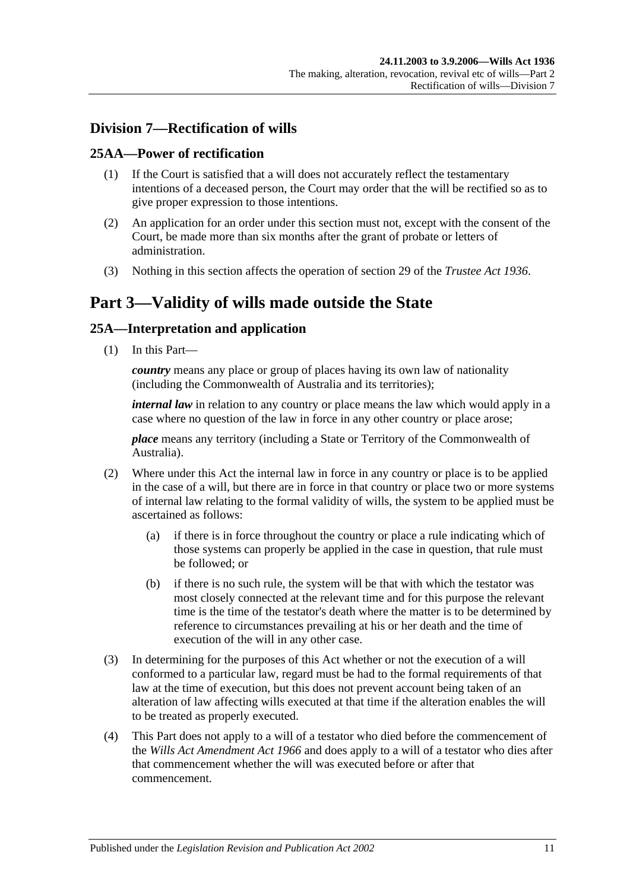## <span id="page-10-0"></span>**Division 7—Rectification of wills**

## <span id="page-10-1"></span>**25AA—Power of rectification**

- (1) If the Court is satisfied that a will does not accurately reflect the testamentary intentions of a deceased person, the Court may order that the will be rectified so as to give proper expression to those intentions.
- (2) An application for an order under this section must not, except with the consent of the Court, be made more than six months after the grant of probate or letters of administration.
- (3) Nothing in this section affects the operation of section 29 of the *[Trustee Act](http://www.legislation.sa.gov.au/index.aspx?action=legref&type=act&legtitle=Trustee%20Act%201936) 1936*.

# <span id="page-10-2"></span>**Part 3—Validity of wills made outside the State**

## <span id="page-10-3"></span>**25A—Interpretation and application**

(1) In this Part—

*country* means any place or group of places having its own law of nationality (including the Commonwealth of Australia and its territories);

*internal law* in relation to any country or place means the law which would apply in a case where no question of the law in force in any other country or place arose;

*place* means any territory (including a State or Territory of the Commonwealth of Australia).

- (2) Where under this Act the internal law in force in any country or place is to be applied in the case of a will, but there are in force in that country or place two or more systems of internal law relating to the formal validity of wills, the system to be applied must be ascertained as follows:
	- (a) if there is in force throughout the country or place a rule indicating which of those systems can properly be applied in the case in question, that rule must be followed; or
	- (b) if there is no such rule, the system will be that with which the testator was most closely connected at the relevant time and for this purpose the relevant time is the time of the testator's death where the matter is to be determined by reference to circumstances prevailing at his or her death and the time of execution of the will in any other case.
- (3) In determining for the purposes of this Act whether or not the execution of a will conformed to a particular law, regard must be had to the formal requirements of that law at the time of execution, but this does not prevent account being taken of an alteration of law affecting wills executed at that time if the alteration enables the will to be treated as properly executed.
- (4) This Part does not apply to a will of a testator who died before the commencement of the *[Wills Act Amendment Act](http://www.legislation.sa.gov.au/index.aspx?action=legref&type=act&legtitle=Wills%20Act%20Amendment%20Act%201966) 1966* and does apply to a will of a testator who dies after that commencement whether the will was executed before or after that commencement.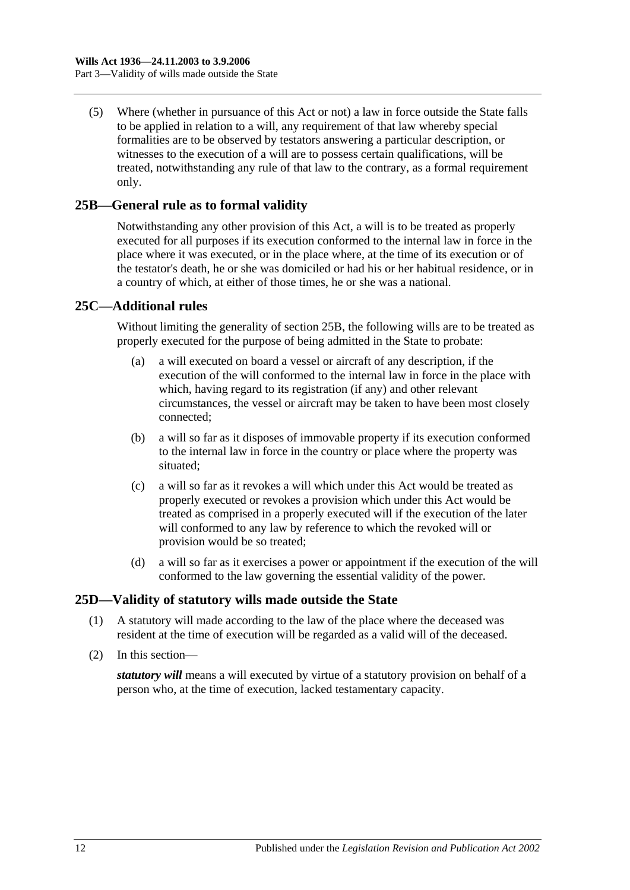(5) Where (whether in pursuance of this Act or not) a law in force outside the State falls to be applied in relation to a will, any requirement of that law whereby special formalities are to be observed by testators answering a particular description, or witnesses to the execution of a will are to possess certain qualifications, will be treated, notwithstanding any rule of that law to the contrary, as a formal requirement only.

## <span id="page-11-0"></span>**25B—General rule as to formal validity**

Notwithstanding any other provision of this Act, a will is to be treated as properly executed for all purposes if its execution conformed to the internal law in force in the place where it was executed, or in the place where, at the time of its execution or of the testator's death, he or she was domiciled or had his or her habitual residence, or in a country of which, at either of those times, he or she was a national.

#### <span id="page-11-1"></span>**25C—Additional rules**

Without limiting the generality of [section](#page-11-0) 25B, the following wills are to be treated as properly executed for the purpose of being admitted in the State to probate:

- (a) a will executed on board a vessel or aircraft of any description, if the execution of the will conformed to the internal law in force in the place with which, having regard to its registration (if any) and other relevant circumstances, the vessel or aircraft may be taken to have been most closely connected;
- (b) a will so far as it disposes of immovable property if its execution conformed to the internal law in force in the country or place where the property was situated;
- (c) a will so far as it revokes a will which under this Act would be treated as properly executed or revokes a provision which under this Act would be treated as comprised in a properly executed will if the execution of the later will conformed to any law by reference to which the revoked will or provision would be so treated;
- (d) a will so far as it exercises a power or appointment if the execution of the will conformed to the law governing the essential validity of the power.

#### <span id="page-11-2"></span>**25D—Validity of statutory wills made outside the State**

- (1) A statutory will made according to the law of the place where the deceased was resident at the time of execution will be regarded as a valid will of the deceased.
- (2) In this section—

*statutory will* means a will executed by virtue of a statutory provision on behalf of a person who, at the time of execution, lacked testamentary capacity.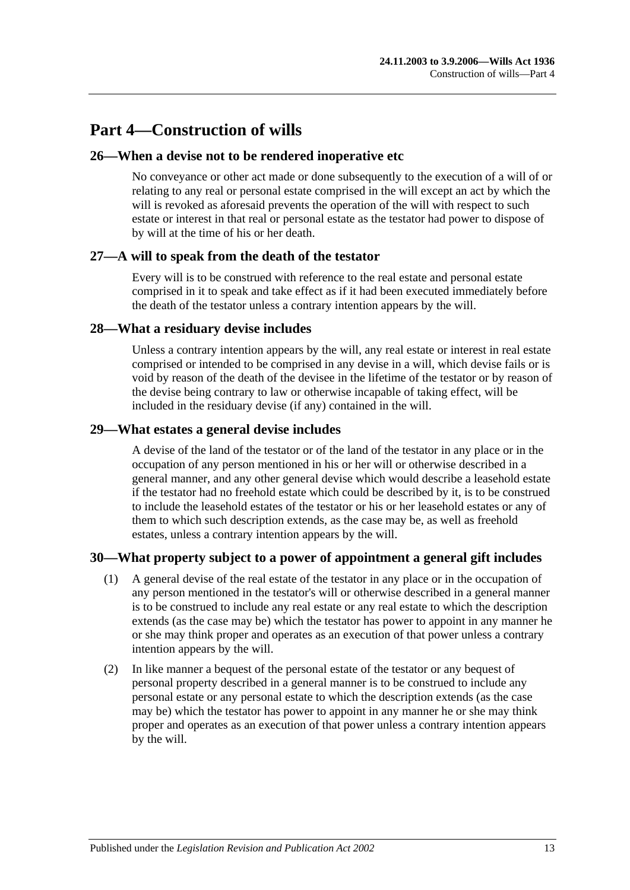# <span id="page-12-0"></span>**Part 4—Construction of wills**

## <span id="page-12-1"></span>**26—When a devise not to be rendered inoperative etc**

No conveyance or other act made or done subsequently to the execution of a will of or relating to any real or personal estate comprised in the will except an act by which the will is revoked as aforesaid prevents the operation of the will with respect to such estate or interest in that real or personal estate as the testator had power to dispose of by will at the time of his or her death.

## <span id="page-12-2"></span>**27—A will to speak from the death of the testator**

Every will is to be construed with reference to the real estate and personal estate comprised in it to speak and take effect as if it had been executed immediately before the death of the testator unless a contrary intention appears by the will.

## <span id="page-12-3"></span>**28—What a residuary devise includes**

Unless a contrary intention appears by the will, any real estate or interest in real estate comprised or intended to be comprised in any devise in a will, which devise fails or is void by reason of the death of the devisee in the lifetime of the testator or by reason of the devise being contrary to law or otherwise incapable of taking effect, will be included in the residuary devise (if any) contained in the will.

## <span id="page-12-4"></span>**29—What estates a general devise includes**

A devise of the land of the testator or of the land of the testator in any place or in the occupation of any person mentioned in his or her will or otherwise described in a general manner, and any other general devise which would describe a leasehold estate if the testator had no freehold estate which could be described by it, is to be construed to include the leasehold estates of the testator or his or her leasehold estates or any of them to which such description extends, as the case may be, as well as freehold estates, unless a contrary intention appears by the will.

## <span id="page-12-5"></span>**30—What property subject to a power of appointment a general gift includes**

- (1) A general devise of the real estate of the testator in any place or in the occupation of any person mentioned in the testator's will or otherwise described in a general manner is to be construed to include any real estate or any real estate to which the description extends (as the case may be) which the testator has power to appoint in any manner he or she may think proper and operates as an execution of that power unless a contrary intention appears by the will.
- (2) In like manner a bequest of the personal estate of the testator or any bequest of personal property described in a general manner is to be construed to include any personal estate or any personal estate to which the description extends (as the case may be) which the testator has power to appoint in any manner he or she may think proper and operates as an execution of that power unless a contrary intention appears by the will.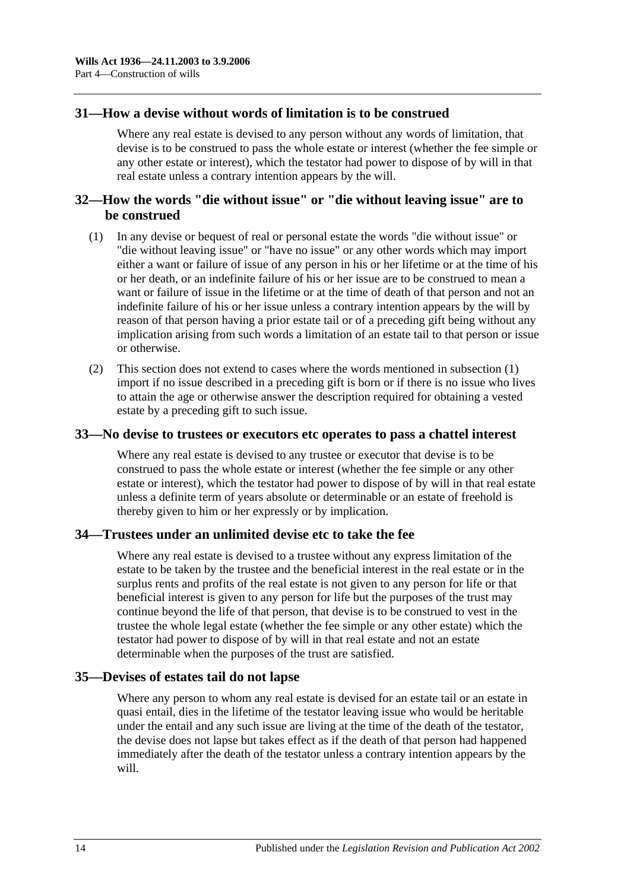#### <span id="page-13-0"></span>**31—How a devise without words of limitation is to be construed**

Where any real estate is devised to any person without any words of limitation, that devise is to be construed to pass the whole estate or interest (whether the fee simple or any other estate or interest), which the testator had power to dispose of by will in that real estate unless a contrary intention appears by the will.

## <span id="page-13-1"></span>**32—How the words "die without issue" or "die without leaving issue" are to be construed**

- <span id="page-13-5"></span>(1) In any devise or bequest of real or personal estate the words "die without issue" or "die without leaving issue" or "have no issue" or any other words which may import either a want or failure of issue of any person in his or her lifetime or at the time of his or her death, or an indefinite failure of his or her issue are to be construed to mean a want or failure of issue in the lifetime or at the time of death of that person and not an indefinite failure of his or her issue unless a contrary intention appears by the will by reason of that person having a prior estate tail or of a preceding gift being without any implication arising from such words a limitation of an estate tail to that person or issue or otherwise.
- (2) This section does not extend to cases where the words mentioned in [subsection](#page-13-5) (1) import if no issue described in a preceding gift is born or if there is no issue who lives to attain the age or otherwise answer the description required for obtaining a vested estate by a preceding gift to such issue.

#### <span id="page-13-2"></span>**33—No devise to trustees or executors etc operates to pass a chattel interest**

Where any real estate is devised to any trustee or executor that devise is to be construed to pass the whole estate or interest (whether the fee simple or any other estate or interest), which the testator had power to dispose of by will in that real estate unless a definite term of years absolute or determinable or an estate of freehold is thereby given to him or her expressly or by implication.

#### <span id="page-13-3"></span>**34—Trustees under an unlimited devise etc to take the fee**

Where any real estate is devised to a trustee without any express limitation of the estate to be taken by the trustee and the beneficial interest in the real estate or in the surplus rents and profits of the real estate is not given to any person for life or that beneficial interest is given to any person for life but the purposes of the trust may continue beyond the life of that person, that devise is to be construed to vest in the trustee the whole legal estate (whether the fee simple or any other estate) which the testator had power to dispose of by will in that real estate and not an estate determinable when the purposes of the trust are satisfied.

#### <span id="page-13-4"></span>**35—Devises of estates tail do not lapse**

Where any person to whom any real estate is devised for an estate tail or an estate in quasi entail, dies in the lifetime of the testator leaving issue who would be heritable under the entail and any such issue are living at the time of the death of the testator, the devise does not lapse but takes effect as if the death of that person had happened immediately after the death of the testator unless a contrary intention appears by the will.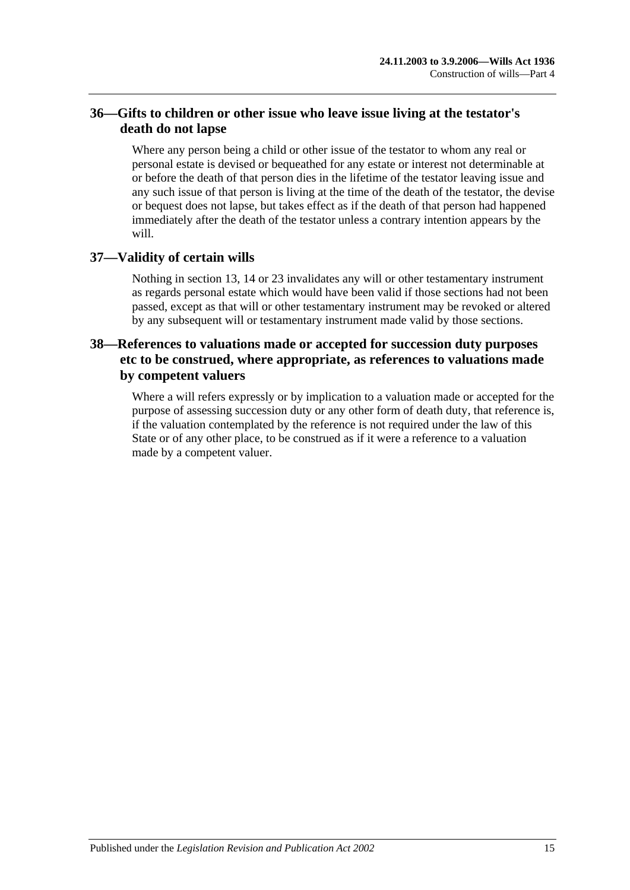## <span id="page-14-0"></span>**36—Gifts to children or other issue who leave issue living at the testator's death do not lapse**

Where any person being a child or other issue of the testator to whom any real or personal estate is devised or bequeathed for any estate or interest not determinable at or before the death of that person dies in the lifetime of the testator leaving issue and any such issue of that person is living at the time of the death of the testator, the devise or bequest does not lapse, but takes effect as if the death of that person had happened immediately after the death of the testator unless a contrary intention appears by the will.

## <span id="page-14-1"></span>**37—Validity of certain wills**

Nothing in [section](#page-6-3) 13, [14](#page-7-0) or [23](#page-9-1) invalidates any will or other testamentary instrument as regards personal estate which would have been valid if those sections had not been passed, except as that will or other testamentary instrument may be revoked or altered by any subsequent will or testamentary instrument made valid by those sections.

## <span id="page-14-2"></span>**38—References to valuations made or accepted for succession duty purposes etc to be construed, where appropriate, as references to valuations made by competent valuers**

Where a will refers expressly or by implication to a valuation made or accepted for the purpose of assessing succession duty or any other form of death duty, that reference is, if the valuation contemplated by the reference is not required under the law of this State or of any other place, to be construed as if it were a reference to a valuation made by a competent valuer.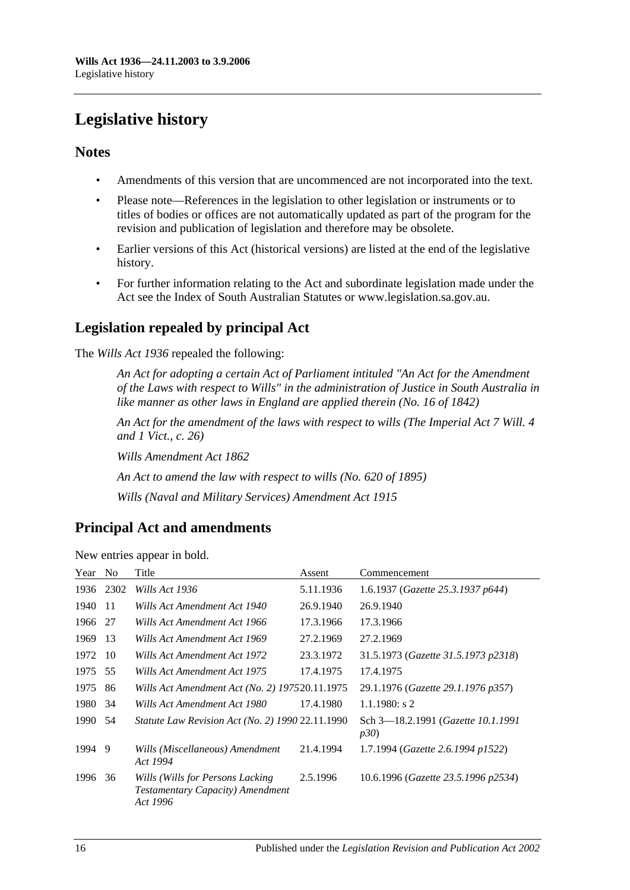# <span id="page-15-0"></span>**Legislative history**

## **Notes**

- Amendments of this version that are uncommenced are not incorporated into the text.
- Please note—References in the legislation to other legislation or instruments or to titles of bodies or offices are not automatically updated as part of the program for the revision and publication of legislation and therefore may be obsolete.
- Earlier versions of this Act (historical versions) are listed at the end of the legislative history.
- For further information relating to the Act and subordinate legislation made under the Act see the Index of South Australian Statutes or www.legislation.sa.gov.au.

# **Legislation repealed by principal Act**

The *Wills Act 1936* repealed the following:

*An Act for adopting a certain Act of Parliament intituled "An Act for the Amendment of the Laws with respect to Wills" in the administration of Justice in South Australia in like manner as other laws in England are applied therein (No. 16 of 1842)*

*An Act for the amendment of the laws with respect to wills (The Imperial Act 7 Will. 4 and 1 Vict., c. 26)*

*Wills Amendment Act 1862*

*An Act to amend the law with respect to wills (No. 620 of 1895)*

*Wills (Naval and Military Services) Amendment Act 1915*

## **Principal Act and amendments**

| Year | N <sub>0</sub> | Title                                                                                    | Assent    | Commencement                                      |
|------|----------------|------------------------------------------------------------------------------------------|-----------|---------------------------------------------------|
| 1936 | 2302           | Wills Act 1936                                                                           | 5.11.1936 | 1.6.1937 (Gazette 25.3.1937 p644)                 |
| 1940 | -11            | Wills Act Amendment Act 1940                                                             | 26.9.1940 | 26.9.1940                                         |
| 1966 | 27             | Wills Act Amendment Act 1966                                                             | 17.3.1966 | 17.3.1966                                         |
| 1969 | 13             | Wills Act Amendment Act 1969                                                             | 27.2.1969 | 27.2.1969                                         |
| 1972 | -10            | Wills Act Amendment Act 1972                                                             | 23.3.1972 | 31.5.1973 (Gazette 31.5.1973 p2318)               |
| 1975 | 55             | Wills Act Amendment Act 1975                                                             | 17.4.1975 | 17.4.1975                                         |
| 1975 | 86             | Wills Act Amendment Act (No. 2) 197520.11.1975                                           |           | 29.1.1976 (Gazette 29.1.1976 p357)                |
| 1980 | 34             | Wills Act Amendment Act 1980                                                             | 17.4.1980 | $1.1.1980$ : s 2                                  |
| 1990 | 54             | Statute Law Revision Act (No. 2) 1990 22.11.1990                                         |           | Sch 3—18.2.1991 ( <i>Gazette 10.1.1991</i><br>p30 |
| 1994 | 9              | Wills (Miscellaneous) Amendment<br>Act 1994                                              | 21.4.1994 | 1.7.1994 (Gazette 2.6.1994 p1522)                 |
| 1996 | 36             | Wills (Wills for Persons Lacking<br><b>Testamentary Capacity</b> ) Amendment<br>Act 1996 | 2.5.1996  | 10.6.1996 (Gazette 23.5.1996 p2534)               |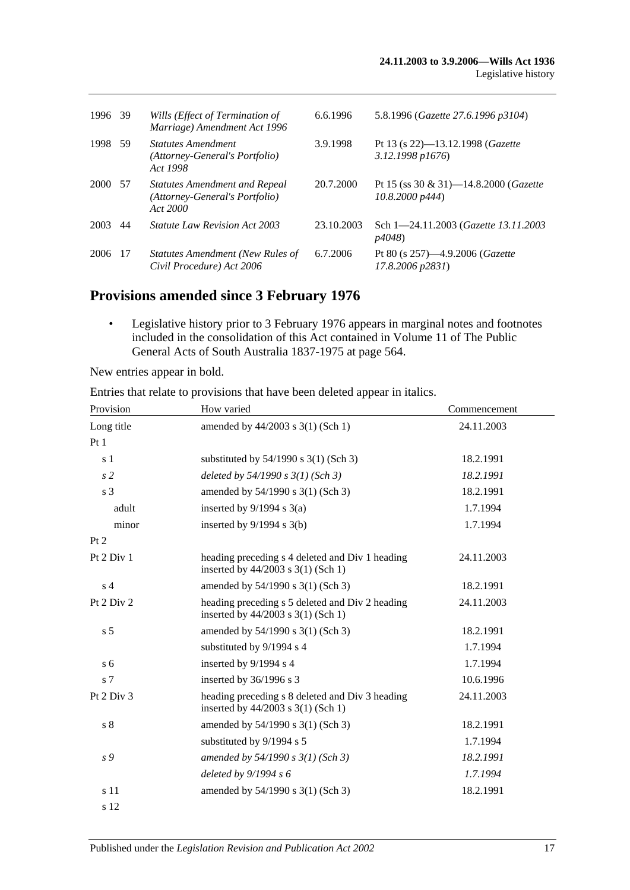| 1996 39 |     | Wills (Effect of Termination of<br>Marriage) Amendment Act 1996                    | 6.6.1996   | 5.8.1996 (Gazette 27.6.1996 p3104)                              |
|---------|-----|------------------------------------------------------------------------------------|------------|-----------------------------------------------------------------|
| 1998    | -59 | <b>Statutes Amendment</b><br>(Attorney-General's Portfolio)<br>Act 1998            | 3.9.1998   | Pt 13 (s 22)-13.12.1998 (Gazette<br>3.12.1998 p1676             |
| 2000    | -57 | <b>Statutes Amendment and Repeal</b><br>(Attorney-General's Portfolio)<br>Act 2000 | 20.7.2000  | Pt 15 (ss 30 & 31)-14.8.2000 ( <i>Gazette</i><br>10.8,2000 p444 |
| 2003    | 44  | <i>Statute Law Revision Act 2003</i>                                               | 23.10.2003 | Sch 1-24.11.2003 ( <i>Gazette 13.11.2003</i><br><i>p4048</i> )  |
| 2006    | -17 | <b>Statutes Amendment (New Rules of</b><br>Civil Procedure) Act 2006               | 6.7.2006   | Pt 80 (s $257$ )—4.9.2006 ( <i>Gazette</i><br>17.8.2006 p2831)  |

## **Provisions amended since 3 February 1976**

• Legislative history prior to 3 February 1976 appears in marginal notes and footnotes included in the consolidation of this Act contained in Volume 11 of The Public General Acts of South Australia 1837-1975 at page 564.

New entries appear in bold.

| Entries that relate to provisions that have been deleted appear in italics. |                                                                                       |              |  |  |  |
|-----------------------------------------------------------------------------|---------------------------------------------------------------------------------------|--------------|--|--|--|
| Provision                                                                   | How varied                                                                            | Commencement |  |  |  |
| Long title                                                                  | amended by 44/2003 s 3(1) (Sch 1)                                                     | 24.11.2003   |  |  |  |
| Pt1                                                                         |                                                                                       |              |  |  |  |
| s 1                                                                         | substituted by $54/1990$ s $3(1)$ (Sch 3)                                             | 18.2.1991    |  |  |  |
| s <sub>2</sub>                                                              | deleted by $54/1990 s 3(1)$ (Sch 3)                                                   | 18.2.1991    |  |  |  |
| s <sub>3</sub>                                                              | amended by 54/1990 s 3(1) (Sch 3)                                                     | 18.2.1991    |  |  |  |
| adult                                                                       | inserted by $9/1994$ s $3(a)$                                                         | 1.7.1994     |  |  |  |
| minor                                                                       | inserted by $9/1994$ s $3(b)$                                                         | 1.7.1994     |  |  |  |
| Pt 2                                                                        |                                                                                       |              |  |  |  |
| Pt 2 Div 1                                                                  | heading preceding s 4 deleted and Div 1 heading<br>inserted by 44/2003 s 3(1) (Sch 1) | 24.11.2003   |  |  |  |
| s <sub>4</sub>                                                              | amended by 54/1990 s 3(1) (Sch 3)                                                     | 18.2.1991    |  |  |  |
| Pt 2 Div 2                                                                  | heading preceding s 5 deleted and Div 2 heading<br>inserted by 44/2003 s 3(1) (Sch 1) | 24.11.2003   |  |  |  |
| s <sub>5</sub>                                                              | amended by 54/1990 s 3(1) (Sch 3)                                                     | 18.2.1991    |  |  |  |
|                                                                             | substituted by 9/1994 s 4                                                             | 1.7.1994     |  |  |  |
| s <sub>6</sub>                                                              | inserted by 9/1994 s 4                                                                | 1.7.1994     |  |  |  |
| s 7                                                                         | inserted by 36/1996 s 3                                                               | 10.6.1996    |  |  |  |
| Pt 2 Div 3                                                                  | heading preceding s 8 deleted and Div 3 heading<br>inserted by 44/2003 s 3(1) (Sch 1) | 24.11.2003   |  |  |  |
| $\sqrt{s}$ 8                                                                | amended by 54/1990 s 3(1) (Sch 3)                                                     | 18.2.1991    |  |  |  |
|                                                                             | substituted by 9/1994 s 5                                                             | 1.7.1994     |  |  |  |
| s 9                                                                         | amended by $54/1990 s 3(1)$ (Sch 3)                                                   | 18.2.1991    |  |  |  |
|                                                                             | deleted by $9/1994 s 6$                                                               | 1.7.1994     |  |  |  |
| s 11                                                                        | amended by 54/1990 s 3(1) (Sch 3)                                                     | 18.2.1991    |  |  |  |

Entries that relate to provisions that have been deleted appear in itali.

s 12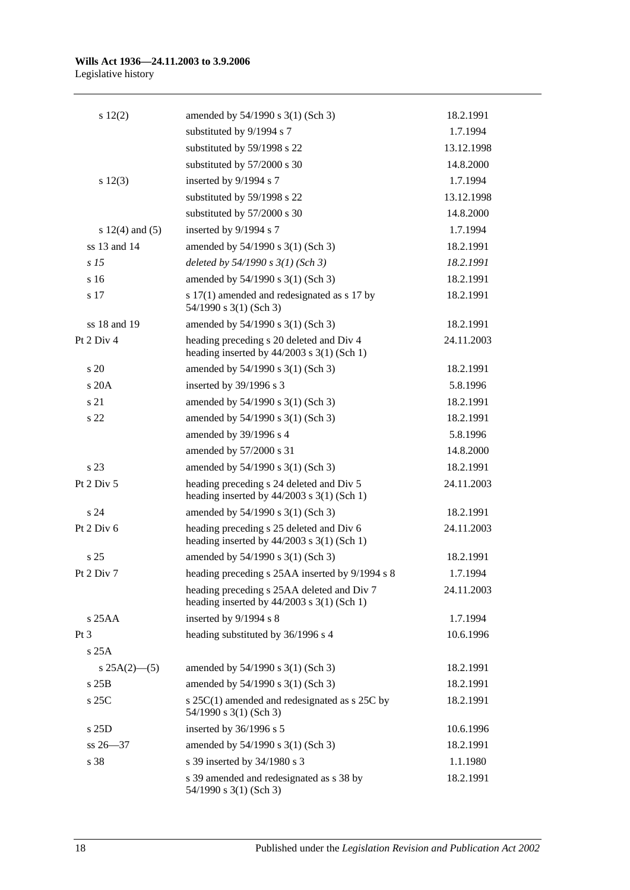#### **Wills Act 1936—24.11.2003 to 3.9.2006** Legislative history

| 12(2)               | amended by 54/1990 s 3(1) (Sch 3)                                                            | 18.2.1991  |
|---------------------|----------------------------------------------------------------------------------------------|------------|
|                     | substituted by 9/1994 s 7                                                                    | 1.7.1994   |
|                     | substituted by 59/1998 s 22                                                                  | 13.12.1998 |
|                     | substituted by 57/2000 s 30                                                                  | 14.8.2000  |
| s 12(3)             | inserted by 9/1994 s 7                                                                       | 1.7.1994   |
|                     | substituted by 59/1998 s 22                                                                  | 13.12.1998 |
|                     | substituted by 57/2000 s 30                                                                  | 14.8.2000  |
| s $12(4)$ and $(5)$ | inserted by 9/1994 s 7                                                                       | 1.7.1994   |
| ss 13 and 14        | amended by 54/1990 s 3(1) (Sch 3)                                                            | 18.2.1991  |
| s <sub>15</sub>     | deleted by $54/1990 s 3(1)$ (Sch 3)                                                          | 18.2.1991  |
| s 16                | amended by 54/1990 s 3(1) (Sch 3)                                                            | 18.2.1991  |
| s 17                | s 17(1) amended and redesignated as s 17 by<br>54/1990 s 3(1) (Sch 3)                        | 18.2.1991  |
| ss 18 and 19        | amended by 54/1990 s 3(1) (Sch 3)                                                            | 18.2.1991  |
| Pt 2 Div 4          | heading preceding s 20 deleted and Div 4<br>heading inserted by $44/2003$ s $3(1)$ (Sch 1)   | 24.11.2003 |
| s 20                | amended by 54/1990 s 3(1) (Sch 3)                                                            | 18.2.1991  |
| s20A                | inserted by 39/1996 s 3                                                                      | 5.8.1996   |
| s 21                | amended by 54/1990 s 3(1) (Sch 3)                                                            | 18.2.1991  |
| s 22                | amended by 54/1990 s 3(1) (Sch 3)                                                            | 18.2.1991  |
|                     | amended by 39/1996 s 4                                                                       | 5.8.1996   |
|                     | amended by 57/2000 s 31                                                                      | 14.8.2000  |
| s 23                | amended by 54/1990 s 3(1) (Sch 3)                                                            | 18.2.1991  |
| Pt 2 Div 5          | heading preceding s 24 deleted and Div 5<br>heading inserted by $44/2003$ s $3(1)$ (Sch 1)   | 24.11.2003 |
| s <sub>24</sub>     | amended by 54/1990 s 3(1) (Sch 3)                                                            | 18.2.1991  |
| Pt 2 Div 6          | heading preceding s 25 deleted and Div 6<br>heading inserted by $44/2003$ s 3(1) (Sch 1)     | 24.11.2003 |
| s <sub>25</sub>     | amended by 54/1990 s 3(1) (Sch 3)                                                            | 18.2.1991  |
| Pt 2 Div 7          | heading preceding s 25AA inserted by 9/1994 s 8                                              | 1.7.1994   |
|                     | heading preceding s 25AA deleted and Div 7<br>heading inserted by $44/2003$ s $3(1)$ (Sch 1) | 24.11.2003 |
| $s$ 25AA            | inserted by 9/1994 s 8                                                                       | 1.7.1994   |
| Pt <sub>3</sub>     | heading substituted by 36/1996 s 4                                                           | 10.6.1996  |
| s25A                |                                                                                              |            |
| s $25A(2)$ —(5)     | amended by 54/1990 s 3(1) (Sch 3)                                                            | 18.2.1991  |
| s25B                | amended by 54/1990 s 3(1) (Sch 3)                                                            | 18.2.1991  |
| $s$ 25 $C$          | s $25C(1)$ amended and redesignated as s $25C$ by<br>54/1990 s 3(1) (Sch 3)                  | 18.2.1991  |
| s 25D               | inserted by 36/1996 s 5                                                                      | 10.6.1996  |
| $ss 26 - 37$        | amended by 54/1990 s 3(1) (Sch 3)                                                            | 18.2.1991  |
| s 38                | s 39 inserted by 34/1980 s 3                                                                 | 1.1.1980   |
|                     | s 39 amended and redesignated as s 38 by<br>54/1990 s 3(1) (Sch 3)                           | 18.2.1991  |